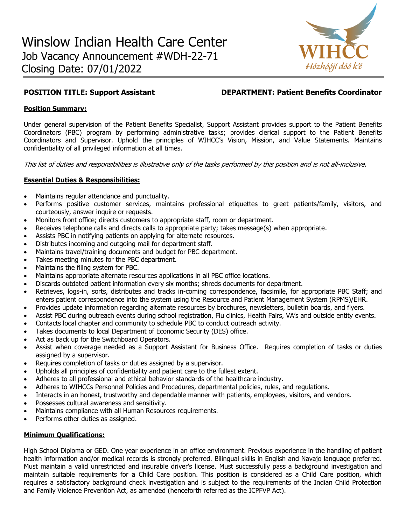

## **POSITION TITLE: Support Assistant DEPARTMENT: Patient Benefits Coordinator**

## **Position Summary:**

Under general supervision of the Patient Benefits Specialist, Support Assistant provides support to the Patient Benefits Coordinators (PBC) program by performing administrative tasks; provides clerical support to the Patient Benefits Coordinators and Supervisor. Uphold the principles of WIHCC's Vision, Mission, and Value Statements. Maintains confidentiality of all privileged information at all times.

This list of duties and responsibilities is illustrative only of the tasks performed by this position and is not all-inclusive.

# **Essential Duties & Responsibilities:**

- Maintains regular attendance and punctuality.
- Performs positive customer services, maintains professional etiquettes to greet patients/family, visitors, and courteously, answer inquire or requests.
- Monitors front office; directs customers to appropriate staff, room or department.
- Receives telephone calls and directs calls to appropriate party; takes message(s) when appropriate.
- Assists PBC in notifying patients on applying for alternate resources.
- Distributes incoming and outgoing mail for department staff.
- Maintains travel/training documents and budget for PBC department.
- Takes meeting minutes for the PBC department.
- Maintains the filing system for PBC.
- Maintains appropriate alternate resources applications in all PBC office locations.
- Discards outdated patient information every six months; shreds documents for department.
- Retrieves, logs-in, sorts, distributes and tracks in-coming correspondence, facsimile, for appropriate PBC Staff; and enters patient correspondence into the system using the Resource and Patient Management System (RPMS)/EHR.
- Provides update information regarding alternate resources by brochures, newsletters, bulletin boards, and flyers.
- Assist PBC during outreach events during school registration, Flu clinics, Health Fairs, VA's and outside entity events.
- Contacts local chapter and community to schedule PBC to conduct outreach activity.
- Takes documents to local Department of Economic Security (DES) office.
- Act as back up for the Switchboard Operators.
- Assist when coverage needed as a Support Assistant for Business Office. Requires completion of tasks or duties assigned by a supervisor.
- Requires completion of tasks or duties assigned by a supervisor.
- Upholds all principles of confidentiality and patient care to the fullest extent.
- Adheres to all professional and ethical behavior standards of the healthcare industry.
- Adheres to WIHCCs Personnel Policies and Procedures, departmental policies, rules, and regulations.
- Interacts in an honest, trustworthy and dependable manner with patients, employees, visitors, and vendors.
- Possesses cultural awareness and sensitivity.
- Maintains compliance with all Human Resources requirements.
- Performs other duties as assigned.

### **Minimum Qualifications:**

High School Diploma or GED. One year experience in an office environment. Previous experience in the handling of patient health information and/or medical records is strongly preferred. Bilingual skills in English and Navajo language preferred. Must maintain a valid unrestricted and insurable driver's license. Must successfully pass a background investigation and maintain suitable requirements for a Child Care position. This position is considered as a Child Care position, which requires a satisfactory background check investigation and is subject to the requirements of the Indian Child Protection and Family Violence Prevention Act, as amended (henceforth referred as the ICPFVP Act).